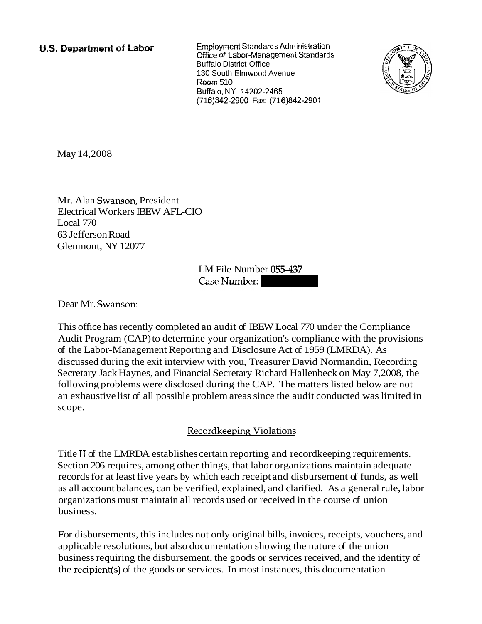**U.S. Department of Labor** 

**Employment Standards Administration** Office **of** Labor-Managemerrf **Standards**  Buffalo District Office 1 30 South Elmwood Avenue *Room* 510 Buffalo, NY 14202-2465 (71 6)842-2900 Fax: (71 6)842-2901



May 14,2008

Mr. Alan Swanson, President Electrical Workers IBEW AFL-CIO Local 770 63 Jefferson Road Glenmont, NY 12077

> LM File Number 055-437 Case Number:

Dear Mr. Swanson:

This office has recently completed an audit of IBEW Local 770 under the Compliance Audit Program (CAP) to determine your organization's compliance with the provisions of the Labor-Management Reporting and Disclosure Act of 1959 (LMRDA). As discussed during the exit interview with you, Treasurer David Normandin, Recording Secretary Jack Haynes, and Financial Secretary Richard Hallenbeck on May 7,2008, the following problems were disclosed during the CAP. The matters listed below are not an exhaustive list of all possible problem areas since the audit conducted was limited in scope.

# Recordkeeping Violations

Title I1 of the LMRDA establishes certain reporting and recordkeeping requirements. Section 206 requires, among other things, that labor organizations maintain adequate records for at least five years by which each receipt and disbursement of funds, as well as all account balances, can be verified, explained, and clarified. As a general rule, labor organizations must maintain all records used or received in the course of union business.

For disbursements, this includes not only original bills, invoices, receipts, vouchers, and applicable resolutions, but also documentation showing the nature of the union business requiring the disbursement, the goods or services received, and the identity of the recipient(s) of the goods or services. In most instances, this documentation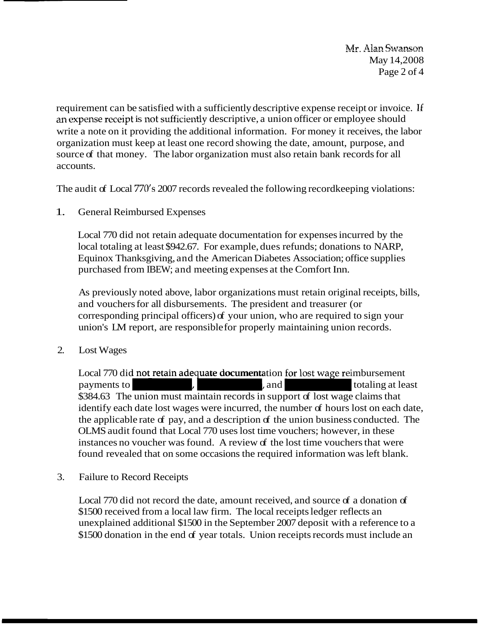Mr. Alan Swanson May 14,2008 Page 2 of 4

requirement can be satisfied with a sufficiently descriptive expense receipt or invoice. 1f an expense receipt is not sufficiently descriptive, a union officer or employee should write a note on it providing the additional information. For money it receives, the labor organization must keep at least one record showing the date, amount, purpose, and source of that money. The labor organization must also retain bank records for all accounts.

The audit of Local 770's 2007 records revealed the following recordkeeping violations:

1. General Reimbursed Expenses

Local 770 did not retain adequate documentation for expenses incurred by the local totaling at least \$942.67. For example, dues refunds; donations to NARP, Equinox Thanksgiving, and the American Diabetes Association; office supplies purchased from IBEW; and meeting expenses at the Comfort Inn.

As previously noted above, labor organizations must retain original receipts, bills, and vouchers for all disbursements. The president and treasurer (or corresponding principal officers) of your union, who are required to sign your union's LM report, are responsible for properly maintaining union records.

2. Lost Wages

Local 770 did not retain adequate documentation for lost wage reimbursement and vouchers for all disbursements. The president and treasurer (or<br>corresponding principal officers) of your union, who are required to sign your<br>union's LM report, are responsible for properly maintaining union records.<br> \$384.63 The union must maintain records in support of lost wage claims that identify each date lost wages were incurred, the number of hours lost on each date, the applicable rate of pay, and a description of the union business conducted. The OLMS audit found that Local 770 uses lost time vouchers; however, in these instances no voucher was found. A review of the lost time vouchers that were found revealed that on some occasions the required information was left blank.

3. Failure to Record Receipts

Local 770 did not record the date, amount received, and source of a donation of \$1500 received from a local law firm. The local receipts ledger reflects an unexplained additional \$1500 in the September 2007 deposit with a reference to a \$1500 donation in the end of year totals. Union receipts records must include an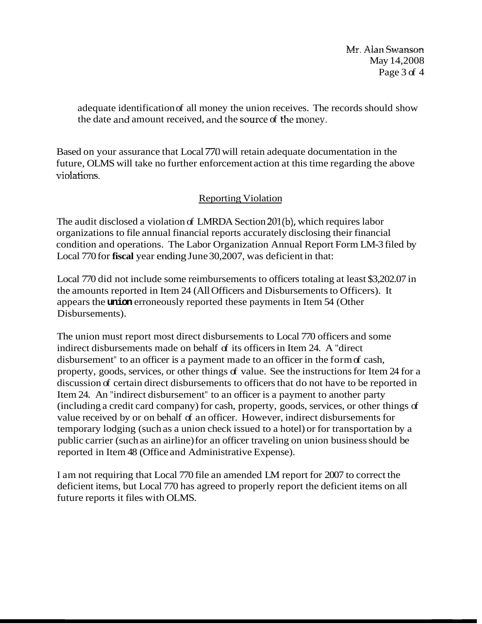**Mr. Alan Swanson** May 14,2008 Page 3 of 4

adequate identification of all money the union receives. The records should show the date and amount received, and the source of the money.

Based on your assurance that Local 770 will retain adequate documentation in the future, OLMS will take no further enforcement action at this time regarding the above violations

# Reporting Violation

The audit disclosed a violation of LMRDA Section 201(b), which requires labor organizations to file annual financial reports accurately disclosing their financial condition and operations. The Labor Organization Annual Report Form LM-3 filed by Local 770 for **fiscal** year ending June 30,2007, was deficient in that:

Local 770 did not include some reimbursements to officers totaling at least \$3,202.07 in the amounts reported in Item 24 (All Officers and Disbursements to Officers). It appears the **union** erroneously reported these payments in Item 54 (Other Disbursements).

The union must report most direct disbursements to Local 770 officers and some indirect disbursements made on behalf of its officers in Item 24. A "direct disbursement" to an officer is a payment made to an officer in the form of cash, property, goods, services, or other things of value. See the instructions for Item 24 for a discussion of certain direct disbursements to officers that do not have to be reported in Item 24. An "indirect disbursement" to an officer is a payment to another party (including a credit card company) for cash, property, goods, services, or other things of value received by or on behalf of an officer. However, indirect disbursements for temporary lodging (such as a union check issued to a hotel) or for transportation by a public carrier (such as an airline) for an officer traveling on union business should be reported in Item 48 (Office and Administrative Expense).

I am not requiring that Local 770 file an amended LM report for 2007 to correct the deficient items, but Local 770 has agreed to properly report the deficient items on all future reports it files with OLMS.